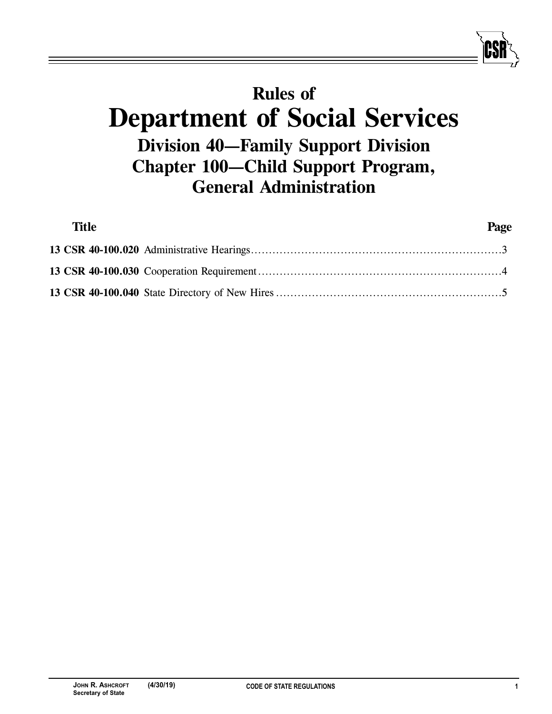# **Rules of Department of Social Services Division 40—Family Support Division Chapter 100—Child Support Program, General Administration**

| Title | Page |
|-------|------|
|       |      |
|       |      |
|       |      |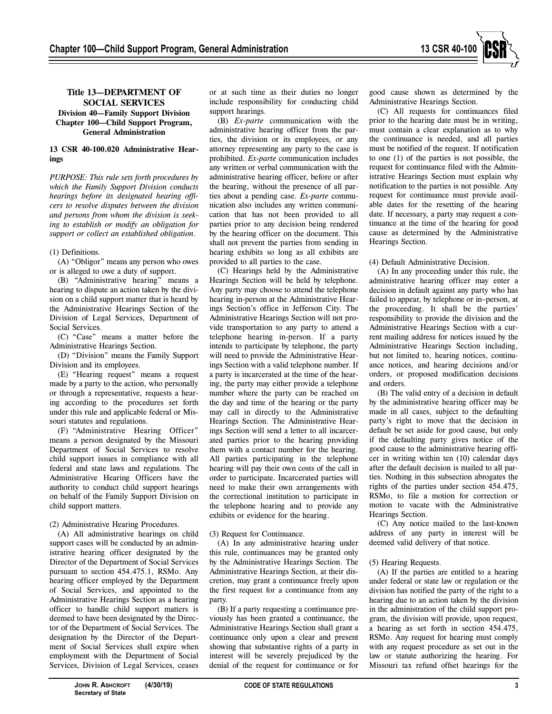

## **Title 13—DEPARTMENT OF SOCIAL SERVICES Division 40—Family Support Division Chapter 100—Child Support Program, General Administration**

## **13 CSR 40-100.020 Administrative Hearings**

*PURPOSE: This rule sets forth procedures by which the Family Support Division conducts hearings before its designated hearing officers to resolve disputes between the division and persons from whom the division is seeking to establish or modify an obligation for support or collect an established obligation.*

## (1) Definitions.

(A) "Obligor" means any person who owes or is alleged to owe a duty of support.

(B) "Administrative hearing" means a hearing to dispute an action taken by the division on a child support matter that is heard by the Administrative Hearings Section of the Division of Legal Services, Department of Social Services.

(C) "Case" means a matter before the Administrative Hearings Section.

(D) "Division" means the Family Support Division and its employees.

(E) "Hearing request" means a request made by a party to the action, who personally or through a representative, requests a hearing according to the procedures set forth under this rule and applicable federal or Missouri statutes and regulations.

(F) "Administrative Hearing Officer" means a person designated by the Missouri Department of Social Services to resolve child support issues in compliance with all federal and state laws and regulations. The Administrative Hearing Officers have the authority to conduct child support hearings on behalf of the Family Support Division on child support matters.

# (2) Administrative Hearing Procedures.

(A) All administrative hearings on child support cases will be conducted by an administrative hearing officer designated by the Director of the Department of Social Services pursuant to section 454.475.1, RSMo. Any hearing officer employed by the Department of Social Services, and appointed to the Administrative Hearings Section as a hearing officer to handle child support matters is deemed to have been designated by the Director of the Department of Social Services. The designation by the Director of the Department of Social Services shall expire when employment with the Department of Social Services, Division of Legal Services, ceases or at such time as their duties no longer include responsibility for conducting child support hearings.

(B) *Ex-parte* communication with the administrative hearing officer from the parties, the division or its employees, or any attorney representing any party to the case is prohibited. *Ex-parte* communication includes any written or verbal communication with the administrative hearing officer, before or after the hearing, without the presence of all parties about a pending case. *Ex-parte* communication also includes any written communication that has not been provided to all parties prior to any decision being rendered by the hearing officer on the document. This shall not prevent the parties from sending in hearing exhibits so long as all exhibits are provided to all parties to the case.

(C) Hearings held by the Administrative Hearings Section will be held by telephone. Any party may choose to attend the telephone hearing in-person at the Administrative Hearings Section's office in Jefferson City. The Administrative Hearings Section will not provide transportation to any party to attend a telephone hearing in-person. If a party intends to participate by telephone, the party will need to provide the Administrative Hearings Section with a valid telephone number. If a party is incarcerated at the time of the hearing, the party may either provide a telephone number where the party can be reached on the day and time of the hearing or the party may call in directly to the Administrative Hearings Section. The Administrative Hearings Section will send a letter to all incarcerated parties prior to the hearing providing them with a contact number for the hearing. All parties participating in the telephone hearing will pay their own costs of the call in order to participate. Incarcerated parties will need to make their own arrangements with the correctional institution to participate in the telephone hearing and to provide any exhibits or evidence for the hearing.

#### (3) Request for Continuance.

(A) In any administrative hearing under this rule, continuances may be granted only by the Administrative Hearings Section. The Administrative Hearings Section, at their discretion, may grant a continuance freely upon the first request for a continuance from any party.

(B) If a party requesting a continuance previously has been granted a continuance, the Administrative Hearings Section shall grant a continuance only upon a clear and present showing that substantive rights of a party in interest will be severely prejudiced by the denial of the request for continuance or for

good cause shown as determined by the Administrative Hearings Section.

(C) All requests for continuances filed prior to the hearing date must be in writing, must contain a clear explanation as to why the continuance is needed, and all parties must be notified of the request. If notification to one (1) of the parties is not possible, the request for continuance filed with the Administrative Hearings Section must explain why notification to the parties is not possible. Any request for continuance must provide available dates for the resetting of the hearing date. If necessary, a party may request a continuance at the time of the hearing for good cause as determined by the Administrative Hearings Section.

## (4) Default Administrative Decision.

(A) In any proceeding under this rule, the administrative hearing officer may enter a decision in default against any party who has failed to appear, by telephone or in–person, at the proceeding. It shall be the parties' responsibility to provide the division and the Administrative Hearings Section with a current mailing address for notices issued by the Administrative Hearings Section including, but not limited to, hearing notices, continuance notices, and hearing decisions and/or orders, or proposed modification decisions and orders.

(B) The valid entry of a decision in default by the administrative hearing officer may be made in all cases, subject to the defaulting party's right to move that the decision in default be set aside for good cause, but only if the defaulting party gives notice of the good cause to the administrative hearing officer in writing within ten (10) calendar days after the default decision is mailed to all parties. Nothing in this subsection abrogates the rights of the parties under section 454.475, RSMo, to file a motion for correction or motion to vacate with the Administrative Hearings Section.

(C) Any notice mailed to the last-known address of any party in interest will be deemed valid delivery of that notice.

#### (5) Hearing Requests.

(A) If the parties are entitled to a hearing under federal or state law or regulation or the division has notified the party of the right to a hearing due to an action taken by the division in the administration of the child support program, the division will provide, upon request, a hearing as set forth in section 454.475, RSMo. Any request for hearing must comply with any request procedure as set out in the law or statute authorizing the hearing. For Missouri tax refund offset hearings for the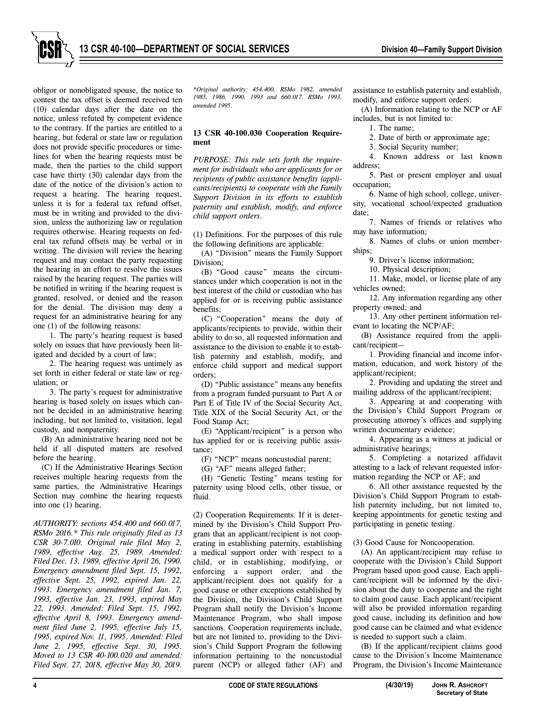obligor or nonobligated spouse, the notice to contest the tax offset is deemed received ten (10) calendar days after the date on the notice, unless refuted by competent evidence to the contrary. If the parties are entitled to a hearing, but federal or state law or regulation does not provide specific procedures or timelines for when the hearing requests must be made, then the parties to the child support case have thirty (30) calendar days from the date of the notice of the division's action to request a hearing. The hearing request, unless it is for a federal tax refund offset, must be in writing and provided to the division, unless the authorizing law or regulation requires otherwise. Hearing requests on federal tax refund offsets may be verbal or in writing. The division will review the hearing request and may contact the party requesting the hearing in an effort to resolve the issues raised by the hearing request. The parties will be notified in writing if the hearing request is granted, resolved, or denied and the reason for the denial. The division may deny a request for an administrative hearing for any one (1) of the following reasons:

1. The party's hearing request is based solely on issues that have previously been litigated and decided by a court of law;

2. The hearing request was untimely as set forth in either federal or state law or regulation; or

3. The party's request for administrative hearing is based solely on issues which cannot be decided in an administrative hearing including, but not limited to, visitation, legal custody, and nonpaternity.

(B) An administrative hearing need not be held if all disputed matters are resolved before the hearing.

(C) If the Administrative Hearings Section receives multiple hearing requests from the same parties, the Administrative Hearings Section may combine the hearing requests into one (1) hearing.

*AUTHORITY: sections 454.400 and 660.017, RSMo 2016.\* This rule originally filed as 13 CSR 30-7.010. Original rule filed May 2, 1989, effective Aug. 25, 1989. Amended: Filed Dec. 13, 1989, effective April 26, 1990. Emergency amendment filed Sept. 15, 1992, effective Sept. 25, 1992, expired Jan. 22, 1993. Emergency amendment filed Jan. 7, 1993, effective Jan. 23, 1993, expired May 22, 1993. Amended: Filed Sept. 15, 1992, effective April 8, 1993. Emergency amendment filed June 2, 1995, effective July 15, 1995, expired Nov. 11, 1995. Amended: Filed June 2, 1995, effective Sept. 30, 1995. Moved to 13 CSR 40-100.020 and amended: Filed Sept. 27, 2018, effective May 30, 2019.*

*\*Original authority: 454.400, RSMo 1982, amended 1985, 1986, 1990, 1993 and 660.017, RSMo 1993, amended 1995.*

## **13 CSR 40-100.030 Cooperation Requirement**

*PURPOSE: This rule sets forth the requirement for individuals who are applicants for or recipients of public assistance benefits (applicants/recipients) to cooperate with the Family Support Division in its efforts to establish paternity and establish, modify, and enforce child support orders.*

(1) Definitions. For the purposes of this rule the following definitions are applicable:

(A) "Division" means the Family Support Division;

(B) "Good cause" means the circumstances under which cooperation is not in the best interest of the child or custodian who has applied for or is receiving public assistance benefits;

(C) "Cooperation" means the duty of applicants/recipients to provide, within their ability to do so, all requested information and assistance to the division to enable it to establish paternity and establish, modify, and enforce child support and medical support orders;

(D) "Public assistance" means any benefits from a program funded pursuant to Part A or Part E of Title IV of the Social Security Act, Title XIX of the Social Security Act, or the Food Stamp Act;

(E) "Applicant/recipient" is a person who has applied for or is receiving public assistance;

(F) "NCP" means noncustodial parent;

(G) "AF" means alleged father;

(H) "Genetic Testing" means testing for paternity using blood cells, other tissue, or fluid.

(2) Cooperation Requirements. If it is determined by the Division's Child Support Program that an applicant/recipient is not cooperating in establishing paternity, establishing a medical support order with respect to a child, or in establishing, modifying, or enforcing a support order, and the applicant/recipient does not qualify for a good cause or other exceptions established by the Division, the Division's Child Support Program shall notify the Division's Income Maintenance Program, who shall impose sanctions. Cooperation requirements include, but are not limited to, providing to the Division's Child Support Program the following information pertaining to the noncustodial parent (NCP) or alleged father (AF) and

assistance to establish paternity and establish, modify, and enforce support orders:

(A) Information relating to the NCP or AF includes, but is not limited to:

1. The name;

2. Date of birth or approximate age;

3. Social Security number;

4. Known address or last known address;

5. Past or present employer and usual occupation;

6. Name of high school, college, university, vocational school/expected graduation date;

7. Names of friends or relatives who may have information;

8. Names of clubs or union memberships;

9. Driver's license information;

10. Physical description;

11. Make, model, or license plate of any vehicles owned;

12. Any information regarding any other property owned; and

13. Any other pertinent information relevant to locating the NCP/AF;

(B) Assistance required from the applicant/recipient—

1. Providing financial and income information, education, and work history of the applicant/recipient;

2. Providing and updating the street and mailing address of the applicant/recipient;

3. Appearing at and cooperating with the Division's Child Support Program or prosecuting attorney's offices and supplying written documentary evidence;

4. Appearing as a witness at judicial or administrative hearings;

5. Completing a notarized affidavit attesting to a lack of relevant requested information regarding the NCP or AF; and

6. All other assistance requested by the Division's Child Support Program to establish paternity including, but not limited to, keeping appointments for genetic testing and participating in genetic testing.

(3) Good Cause for Noncooperation.

(A) An applicant/recipient may refuse to cooperate with the Division's Child Support Program based upon good cause. Each applicant/recipient will be informed by the division about the duty to cooperate and the right to claim good cause. Each applicant/recipient will also be provided information regarding good cause, including its definition and how good cause can be claimed and what evidence is needed to support such a claim.

(B) If the applicant/recipient claims good cause to the Division's Income Maintenance Program, the Division's Income Maintenance